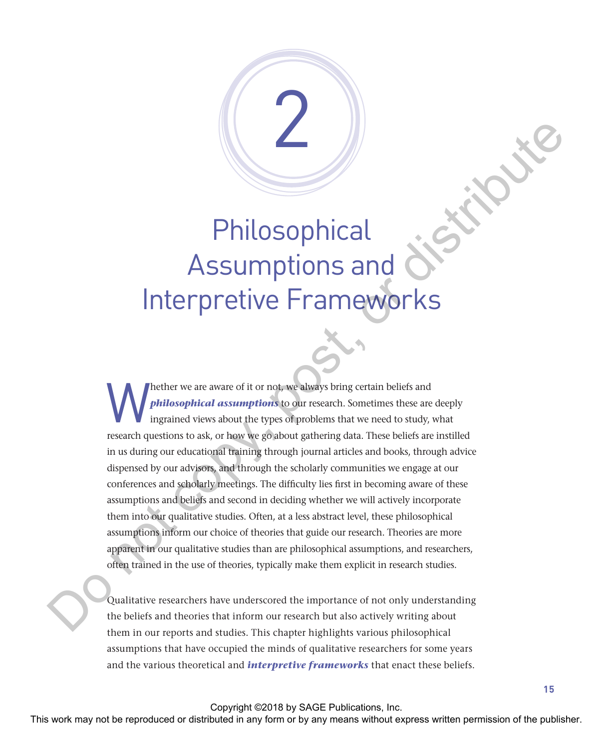# Philosophical Assumptions and Interpretive Frameworks

2

**Whether we are aware of it or not, we always bring certain beliefs and philosophical assumptions to our research. Sometimes these are deep ingrained views about the types of problems that we need to study, what** *philosophical assumptions* to our research. Sometimes these are deeply research questions to ask, or how we go about gathering data. These beliefs are instilled in us during our educational training through journal articles and books, through advice dispensed by our advisors, and through the scholarly communities we engage at our conferences and scholarly meetings. The difficulty lies first in becoming aware of these assumptions and beliefs and second in deciding whether we will actively incorporate them into our qualitative studies. Often, at a less abstract level, these philosophical assumptions inform our choice of theories that guide our research. Theories are more apparent in our qualitative studies than are philosophical assumptions, and researchers, often trained in the use of theories, typically make them explicit in research studies. **This work may not be reproduced or distributed in any form or by any means without express with**  $\theta$  **and**  $\theta$  **and**  $\theta$  **any form of**  $\theta$  **and**  $\theta$  **and**  $\theta$  **and**  $\theta$  **and**  $\theta$  **and**  $\theta$  **and**  $\theta$  **and**  $\theta$  **and**  $\theta$  **and**  $\theta$  **and** 

Qualitative researchers have underscored the importance of not only understanding the beliefs and theories that inform our research but also actively writing about them in our reports and studies. This chapter highlights various philosophical assumptions that have occupied the minds of qualitative researchers for some years and the various theoretical and *interpretive frameworks* that enact these beliefs.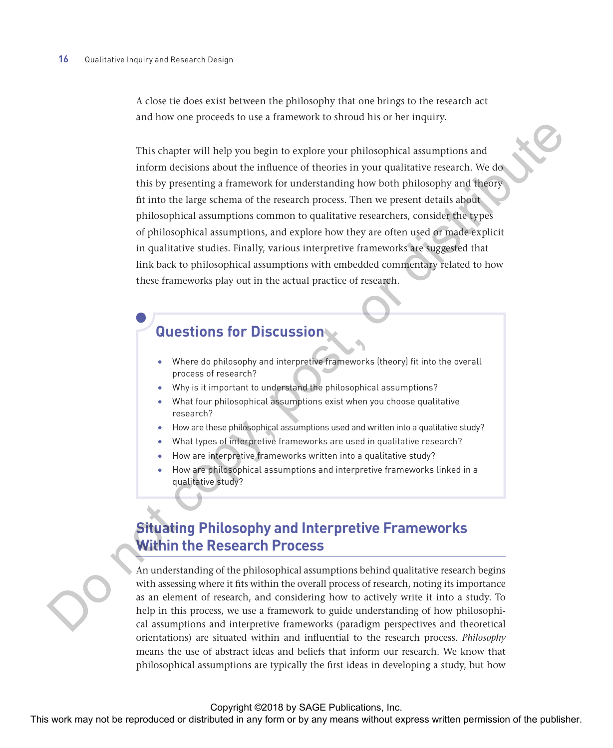A close tie does exist between the philosophy that one brings to the research act and how one proceeds to use a framework to shroud his or her inquiry.

This chapter will help you begin to explore your philosophical assumptions and inform decisions about the influence of theories in your qualitative research. We do this by presenting a framework for understanding how both philosophy and theory fit into the large schema of the research process. Then we present details about philosophical assumptions common to qualitative researchers, consider the types of philosophical assumptions, and explore how they are often used or made explicit in qualitative studies. Finally, various interpretive frameworks are suggested that link back to philosophical assumptions with embedded commentary related to how these frameworks play out in the actual practice of research. This chapter will below the reproduced or distributed or distributed in any form or by any means with a simple or distributed in any means we have the publisher. This we present details approximate the means with permissi

# **Questions for Discussion**

- Where do philosophy and interpretive frameworks (theory) fit into the overall process of research?
- Why is it important to understand the philosophical assumptions?
- What four philosophical assumptions exist when you choose qualitative research?
- How are these philosophical assumptions used and written into a qualitative study?
- What types of interpretive frameworks are used in qualitative research?
- How are interpretive frameworks written into a qualitative study?
- How are philosophical assumptions and interpretive frameworks linked in a qualitative study?

# **Situating Philosophy and Interpretive Frameworks Within the Research Process**

An understanding of the philosophical assumptions behind qualitative research begins with assessing where it fits within the overall process of research, noting its importance as an element of research, and considering how to actively write it into a study. To help in this process, we use a framework to guide understanding of how philosophical assumptions and interpretive frameworks (paradigm perspectives and theoretical orientations) are situated within and influential to the research process. *Philosophy* means the use of abstract ideas and beliefs that inform our research. We know that philosophical assumptions are typically the first ideas in developing a study, but how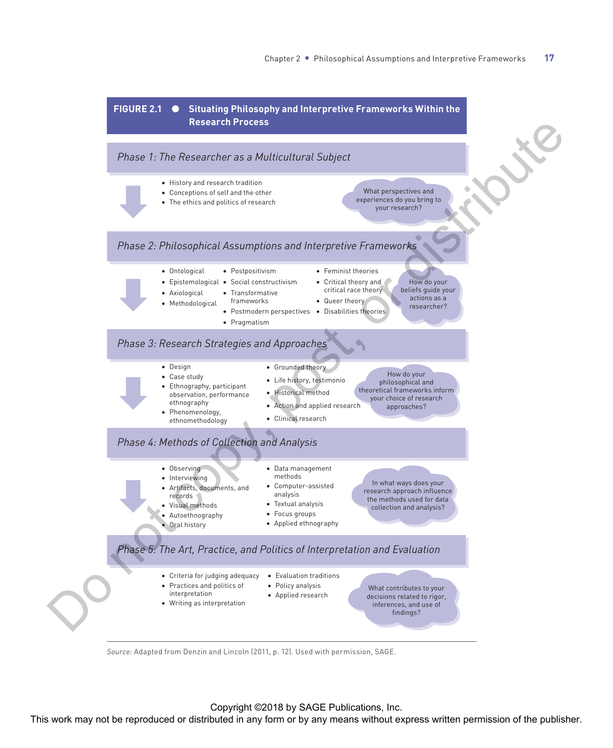

*Source:* Adapted from Denzin and Lincoln (2011, p. 12). Used with permission, SAGE.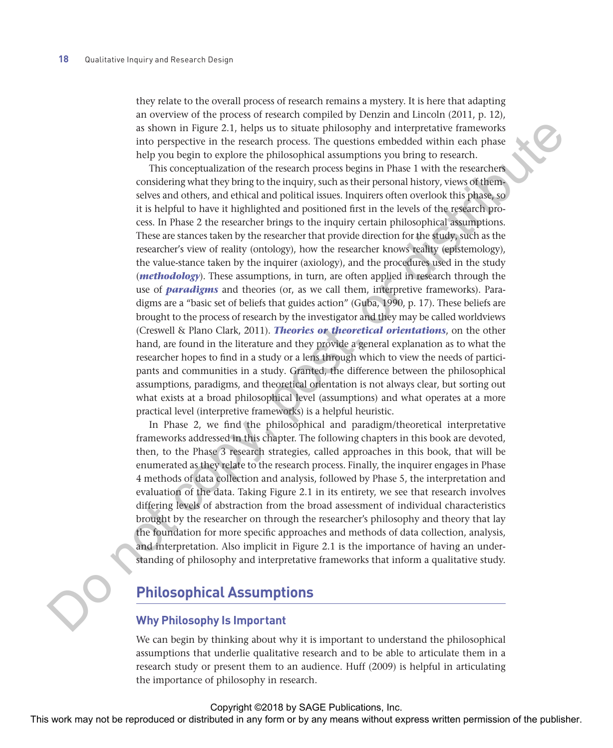they relate to the overall process of research remains a mystery. It is here that adapting an overview of the process of research compiled by Denzin and Lincoln (2011, p. 12), as shown in Figure 2.1, helps us to situate philosophy and interpretative frameworks into perspective in the research process. The questions embedded within each phase help you begin to explore the philosophical assumptions you bring to research.

This conceptualization of the research process begins in Phase 1 with the researchers considering what they bring to the inquiry, such as their personal history, views of themselves and others, and ethical and political issues. Inquirers often overlook this phase, so it is helpful to have it highlighted and positioned first in the levels of the research process. In Phase 2 the researcher brings to the inquiry certain philosophical assumptions. These are stances taken by the researcher that provide direction for the study, such as the researcher's view of reality (ontology), how the researcher knows reality (epistemology), the value-stance taken by the inquirer (axiology), and the procedures used in the study (*methodology*). These assumptions, in turn, are often applied in research through the use of *paradigms* and theories (or, as we call them, interpretive frameworks). Paradigms are a "basic set of beliefs that guides action" (Guba, 1990, p. 17). These beliefs are brought to the process of research by the investigator and they may be called worldviews (Creswell & Plano Clark, 2011). *Theories or theoretical orientations*, on the other hand, are found in the literature and they provide a general explanation as to what the researcher hopes to find in a study or a lens through which to view the needs of participants and communities in a study. Granted, the difference between the philosophical assumptions, paradigms, and theoretical orientation is not always clear, but sorting out what exists at a broad philosophical level (assumptions) and what operates at a more practical level (interpretive frameworks) is a helpful heuristic. This work may not be reproduced to the state of the state or distributed in the reproduced or the publisher or the publisher or the publisher or the publisher of the publisher of the publisher of the publisher of the publ

In Phase 2, we find the philosophical and paradigm/theoretical interpretative frameworks addressed in this chapter. The following chapters in this book are devoted, then, to the Phase 3 research strategies, called approaches in this book, that will be enumerated as they relate to the research process. Finally, the inquirer engages in Phase 4 methods of data collection and analysis, followed by Phase 5, the interpretation and evaluation of the data. Taking Figure 2.1 in its entirety, we see that research involves differing levels of abstraction from the broad assessment of individual characteristics brought by the researcher on through the researcher's philosophy and theory that lay the foundation for more specific approaches and methods of data collection, analysis, and interpretation. Also implicit in Figure 2.1 is the importance of having an understanding of philosophy and interpretative frameworks that inform a qualitative study.

## **Philosophical Assumptions**

#### **Why Philosophy Is Important**

We can begin by thinking about why it is important to understand the philosophical assumptions that underlie qualitative research and to be able to articulate them in a research study or present them to an audience. Huff (2009) is helpful in articulating the importance of philosophy in research.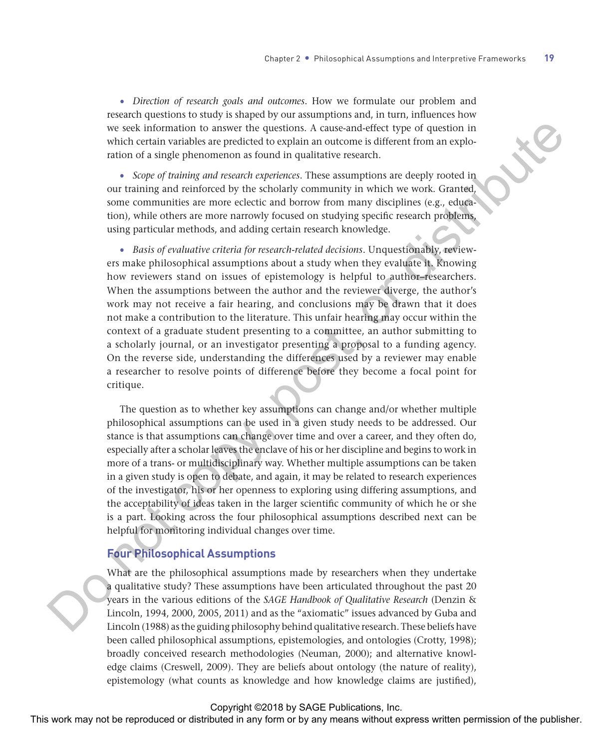• *Direction of research goals and outcomes*. How we formulate our problem and research questions to study is shaped by our assumptions and, in turn, influences how we seek information to answer the questions. A cause-and-effect type of question in which certain variables are predicted to explain an outcome is different from an exploration of a single phenomenon as found in qualitative research.

• *Scope of training and research experiences*. These assumptions are deeply rooted in our training and reinforced by the scholarly community in which we work. Granted, some communities are more eclectic and borrow from many disciplines (e.g., education), while others are more narrowly focused on studying specific research problems, using particular methods, and adding certain research knowledge.

• *Basis of evaluative criteria for research-related decisions*. Unquestionably, reviewers make philosophical assumptions about a study when they evaluate it. Knowing how reviewers stand on issues of epistemology is helpful to author–researchers. When the assumptions between the author and the reviewer diverge, the author's work may not receive a fair hearing, and conclusions may be drawn that it does not make a contribution to the literature. This unfair hearing may occur within the context of a graduate student presenting to a committee, an author submitting to a scholarly journal, or an investigator presenting a proposal to a funding agency. On the reverse side, understanding the differences used by a reviewer may enable a researcher to resolve points of difference before they become a focal point for critique. Note that the means may note the representation of American American Contents in any form or between the reproduced or the system or between the system of the system of the publisher or the system of the publisher. The sy

The question as to whether key assumptions can change and/or whether multiple philosophical assumptions can be used in a given study needs to be addressed. Our stance is that assumptions can change over time and over a career, and they often do, especially after a scholar leaves the enclave of his or her discipline and begins to work in more of a trans- or multidisciplinary way. Whether multiple assumptions can be taken in a given study is open to debate, and again, it may be related to research experiences of the investigator, his or her openness to exploring using differing assumptions, and the acceptability of ideas taken in the larger scientific community of which he or she is a part. Looking across the four philosophical assumptions described next can be helpful for monitoring individual changes over time.

#### **Four Philosophical Assumptions**

What are the philosophical assumptions made by researchers when they undertake a qualitative study? These assumptions have been articulated throughout the past 20 years in the various editions of the *SAGE Handbook of Qualitative Research* (Denzin & Lincoln, 1994, 2000, 2005, 2011) and as the "axiomatic" issues advanced by Guba and Lincoln (1988) as the guiding philosophy behind qualitative research. These beliefs have been called philosophical assumptions, epistemologies, and ontologies (Crotty, 1998); broadly conceived research methodologies (Neuman, 2000); and alternative knowledge claims (Creswell, 2009). They are beliefs about ontology (the nature of reality), epistemology (what counts as knowledge and how knowledge claims are justified),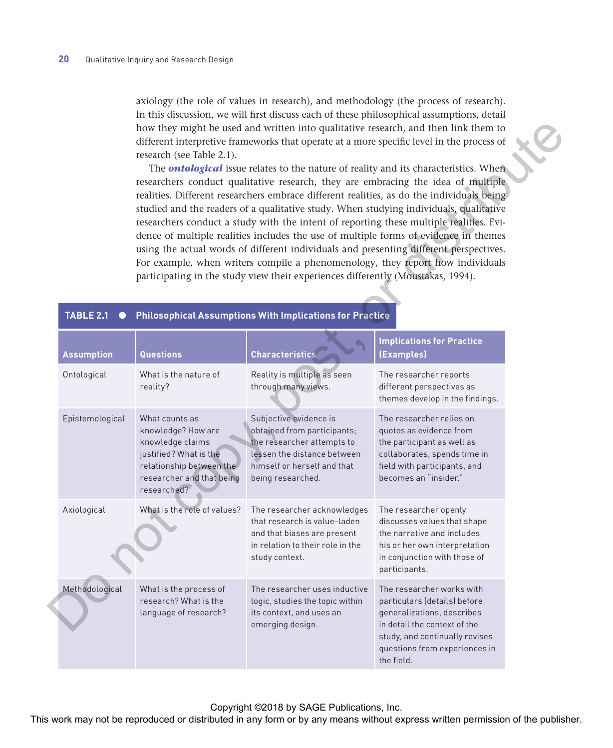axiology (the role of values in research), and methodology (the process of research). In this discussion, we will first discuss each of these philosophical assumptions, detail how they might be used and written into qualitative research, and then link them to different interpretive frameworks that operate at a more specific level in the process of research (see Table 2.1).

| <b>TABLE 2.1</b>  |                                                                                                                                                            | The <b>ontological</b> issue relates to the nature of reality and its characteristics. When<br>participating in the study view their experiences differently (Moustakas, 1994).<br>● Philosophical Assumptions With Implications for Practice | researchers conduct qualitative research, they are embracing the idea of multiple<br>realities. Different researchers embrace different realities, as do the individuals being<br>studied and the readers of a qualitative study. When studying individuals, qualitative<br>researchers conduct a study with the intent of reporting these multiple realities. Evi-<br>dence of multiple realities includes the use of multiple forms of evidence in themes<br>using the actual words of different individuals and presenting different perspectives.<br>For example, when writers compile a phenomenology, they report how individuals |  |
|-------------------|------------------------------------------------------------------------------------------------------------------------------------------------------------|-----------------------------------------------------------------------------------------------------------------------------------------------------------------------------------------------------------------------------------------------|-----------------------------------------------------------------------------------------------------------------------------------------------------------------------------------------------------------------------------------------------------------------------------------------------------------------------------------------------------------------------------------------------------------------------------------------------------------------------------------------------------------------------------------------------------------------------------------------------------------------------------------------|--|
| <b>Assumption</b> | <b>Questions</b>                                                                                                                                           | <b>Characteristics</b>                                                                                                                                                                                                                        | <b>Implications for Practice</b><br>(Examples)                                                                                                                                                                                                                                                                                                                                                                                                                                                                                                                                                                                          |  |
| Ontological       | What is the nature of<br>reality?                                                                                                                          | Reality is multiple as seen<br>through many views.                                                                                                                                                                                            | The researcher reports<br>different perspectives as<br>themes develop in the findings.                                                                                                                                                                                                                                                                                                                                                                                                                                                                                                                                                  |  |
| Epistemological   | What counts as<br>knowledge? How are<br>knowledge claims<br>justified? What is the<br>relationship between the<br>researcher and that being<br>researched? | Subjective evidence is<br>obtained from participants;<br>the researcher attempts to<br>lessen the distance between<br>himself or herself and that<br>being researched.                                                                        | The researcher relies on<br>quotes as evidence from<br>the participant as well as<br>collaborates, spends time in<br>field with participants, and<br>becomes an "insider."                                                                                                                                                                                                                                                                                                                                                                                                                                                              |  |
| Axiological       | What is the role of values?                                                                                                                                | The researcher acknowledges<br>that research is value-laden<br>and that biases are present<br>in relation to their role in the<br>study context.                                                                                              | The researcher openly<br>discusses values that shape<br>the narrative and includes<br>his or her own interpretation<br>in conjunction with those of<br>participants.                                                                                                                                                                                                                                                                                                                                                                                                                                                                    |  |
| Methodological    | What is the process of<br>research? What is the<br>language of research?                                                                                   | The researcher uses inductive<br>logic, studies the topic within<br>its context, and uses an<br>emerging design.                                                                                                                              | The researcher works with<br>particulars (details) before<br>generalizations, describes<br>in detail the context of the<br>study, and continually revises<br>questions from experiences in<br>the field.                                                                                                                                                                                                                                                                                                                                                                                                                                |  |

#### **TABLE 2.1**  $\bullet$  **Philosophical Assumptions With Implications for Practice**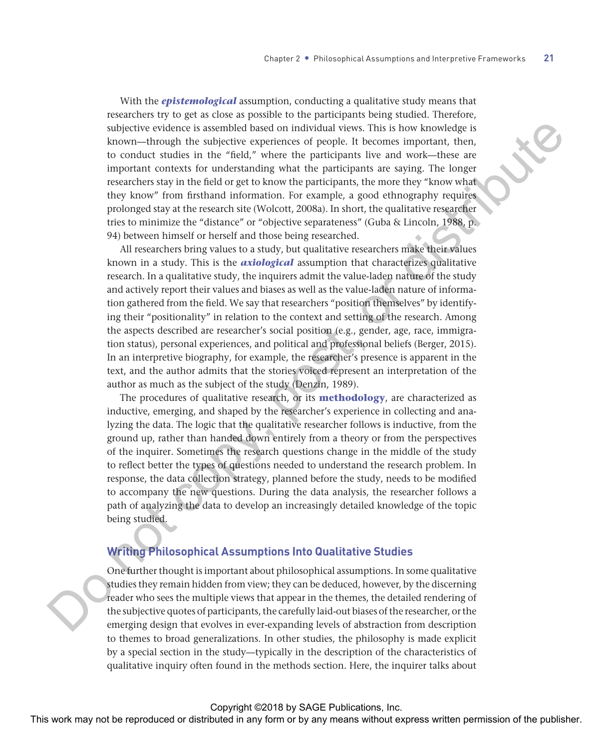With the *epistemological* assumption, conducting a qualitative study means that researchers try to get as close as possible to the participants being studied. Therefore, subjective evidence is assembled based on individual views. This is how knowledge is known—through the subjective experiences of people. It becomes important, then, to conduct studies in the "field," where the participants live and work—these are important contexts for understanding what the participants are saying. The longer researchers stay in the field or get to know the participants, the more they "know what they know" from firsthand information. For example, a good ethnography requires prolonged stay at the research site (Wolcott, 2008a). In short, the qualitative researcher tries to minimize the "distance" or "objective separateness" (Guba & Lincoln, 1988, p. 94) between himself or herself and those being researched.

All researchers bring values to a study, but qualitative researchers make their values known in a study. This is the *axiological* assumption that characterizes qualitative research. In a qualitative study, the inquirers admit the value-laden nature of the study and actively report their values and biases as well as the value-laden nature of information gathered from the field. We say that researchers "position themselves" by identifying their "positionality" in relation to the context and setting of the research. Among the aspects described are researcher's social position (e.g., gender, age, race, immigration status), personal experiences, and political and professional beliefs (Berger, 2015). In an interpretive biography, for example, the researcher's presence is apparent in the text, and the author admits that the stories voiced represent an interpretation of the author as much as the subject of the study (Denzin, 1989). substitute evidents in any form or both singular viewes this blue both showed is to consider the publishere in the singular state and social constant the publishere in the singular constant in a state or the publishere in

The procedures of qualitative research, or its **methodology**, are characterized as inductive, emerging, and shaped by the researcher's experience in collecting and analyzing the data. The logic that the qualitative researcher follows is inductive, from the ground up, rather than handed down entirely from a theory or from the perspectives of the inquirer. Sometimes the research questions change in the middle of the study to reflect better the types of questions needed to understand the research problem. In response, the data collection strategy, planned before the study, needs to be modified to accompany the new questions. During the data analysis, the researcher follows a path of analyzing the data to develop an increasingly detailed knowledge of the topic being studied.

#### **Writing Philosophical Assumptions Into Qualitative Studies**

One further thought is important about philosophical assumptions. In some qualitative studies they remain hidden from view; they can be deduced, however, by the discerning reader who sees the multiple views that appear in the themes, the detailed rendering of the subjective quotes of participants, the carefully laid-out biases of the researcher, or the emerging design that evolves in ever-expanding levels of abstraction from description to themes to broad generalizations. In other studies, the philosophy is made explicit by a special section in the study—typically in the description of the characteristics of qualitative inquiry often found in the methods section. Here, the inquirer talks about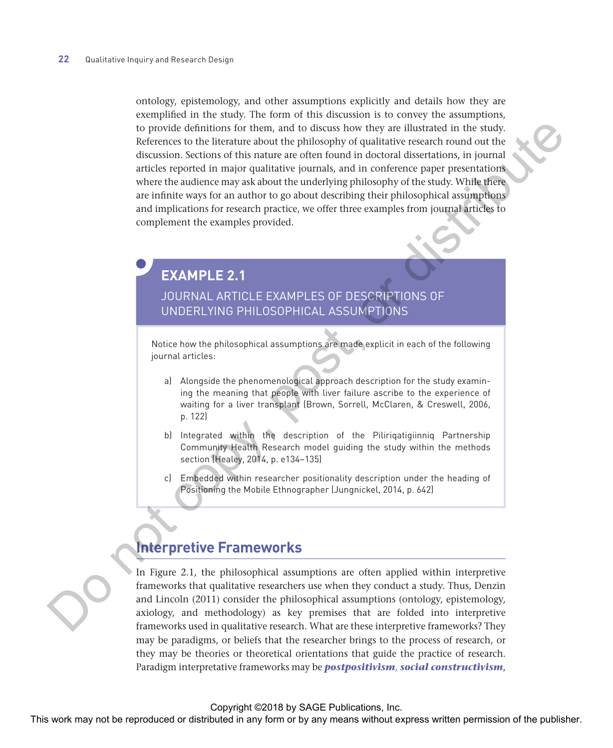ontology, epistemology, and other assumptions explicitly and details how they are exemplified in the study. The form of this discussion is to convey the assumptions, to provide definitions for them, and to discuss how they are illustrated in the study. References to the literature about the philosophy of qualitative research round out the discussion. Sections of this nature are often found in doctoral dissertations, in journal articles reported in major qualitative journals, and in conference paper presentations where the audience may ask about the underlying philosophy of the study. While there are infinite ways for an author to go about describing their philosophical assumptions and implications for research practice, we offer three examples from journal articles to complement the examples provided. The distributed in the state of the representation of the representation of the representation of the representation of the publisher and the publisher anti-<br>
any form or by any form or by any form or by any form of the p

## **EXAMPLE 2.1**

#### JOURNAL ARTICLE EXAMPLES OF DESCRIPTIONS OF UNDERLYING PHILOSOPHICAL ASSUMPTIONS

Notice how the philosophical assumptions are made explicit in each of the following journal articles:

- a) Alongside the phenomenological approach description for the study examining the meaning that people with liver failure ascribe to the experience of waiting for a liver transplant (Brown, Sorrell, McClaren, & Creswell, 2006, p. 122)
- b) Integrated within the description of the Piliriqatigiinniq Partnership Community Health Research model guiding the study within the methods section (Healey, 2014, p. e134–135)
- c) Embedded within researcher positionality description under the heading of Positioning the Mobile Ethnographer (Jungnickel, 2014, p. 642)

# **Interpretive Frameworks**

In Figure 2.1, the philosophical assumptions are often applied within interpretive frameworks that qualitative researchers use when they conduct a study. Thus, Denzin and Lincoln (2011) consider the philosophical assumptions (ontology, epistemology, axiology, and methodology) as key premises that are folded into interpretive frameworks used in qualitative research. What are these interpretive frameworks? They may be paradigms, or beliefs that the researcher brings to the process of research, or they may be theories or theoretical orientations that guide the practice of research. Paradigm interpretative frameworks may be *postpositivism*, *social constructivism*,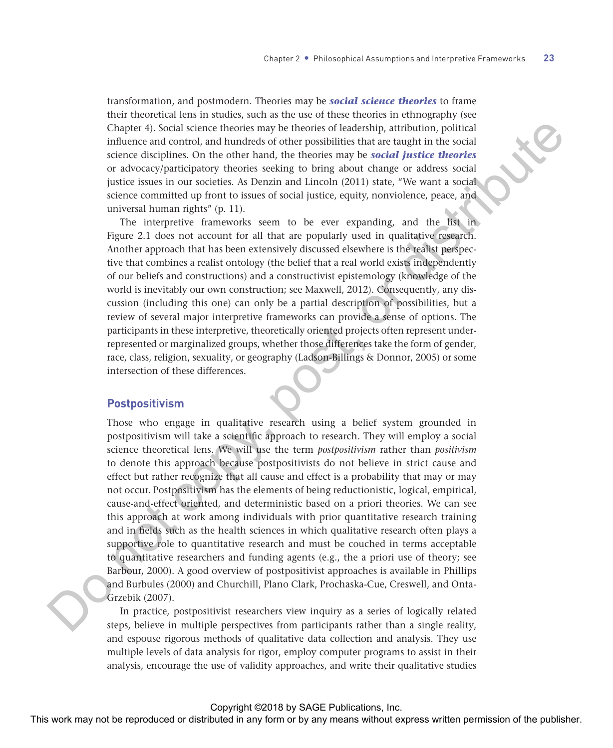transformation, and postmodern. Theories may be *social science theories* to frame their theoretical lens in studies, such as the use of these theories in ethnography (see Chapter 4). Social science theories may be theories of leadership, attribution, political influence and control, and hundreds of other possibilities that are taught in the social science disciplines. On the other hand, the theories may be *social justice theories* or advocacy/participatory theories seeking to bring about change or address social justice issues in our societies. As Denzin and Lincoln (2011) state, "We want a social science committed up front to issues of social justice, equity, nonviolence, peace, and universal human rights" (p. 11).

The interpretive frameworks seem to be ever expanding, and the list in Figure 2.1 does not account for all that are popularly used in qualitative research. Another approach that has been extensively discussed elsewhere is the realist perspective that combines a realist ontology (the belief that a real world exists independently of our beliefs and constructions) and a constructivist epistemology (knowledge of the world is inevitably our own construction; see Maxwell, 2012). Consequently, any discussion (including this one) can only be a partial description of possibilities, but a review of several major interpretive frameworks can provide a sense of options. The participants in these interpretive, theoretically oriented projects often represent underrepresented or marginalized groups, whether those differences take the form of gender, race, class, religion, sexuality, or geography (Ladson-Billings & Donnor, 2005) or some intersection of these differences.

#### **Postpositivism**

Those who engage in qualitative research using a belief system grounded in postpositivism will take a scientific approach to research. They will employ a social science theoretical lens. We will use the term *postpositivism* rather than *positivism* to denote this approach because postpositivists do not believe in strict cause and effect but rather recognize that all cause and effect is a probability that may or may not occur. Postpositivism has the elements of being reductionistic, logical, empirical, cause-and-effect oriented, and deterministic based on a priori theories. We can see this approach at work among individuals with prior quantitative research training and in fields such as the health sciences in which qualitative research often plays a supportive role to quantitative research and must be couched in terms acceptable to quantitative researchers and funding agents (e.g., the a priori use of theory; see Barbour, 2000). A good overview of postpositivist approaches is available in Phillips and Burbules (2000) and Churchill, Plano Clark, Prochaska-Cue, Creswell, and Onta-Grzebik (2007). Caquer or A Social science theoretic may be the<br>calculation and fundamental or distributed or the reproduced or distributed or the<br>second or distributed or by any means we also the publisher. One has the state and publish

In practice, postpositivist researchers view inquiry as a series of logically related steps, believe in multiple perspectives from participants rather than a single reality, and espouse rigorous methods of qualitative data collection and analysis. They use multiple levels of data analysis for rigor, employ computer programs to assist in their analysis, encourage the use of validity approaches, and write their qualitative studies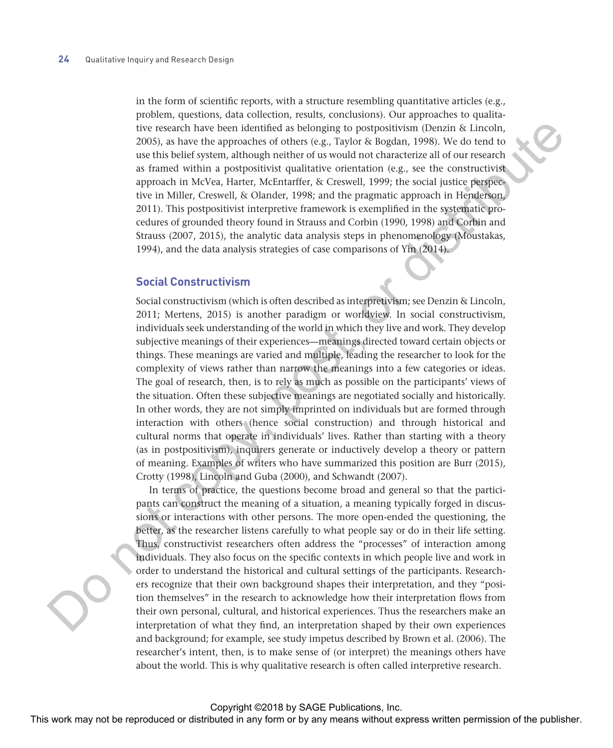in the form of scientific reports, with a structure resembling quantitative articles (e.g., problem, questions, data collection, results, conclusions). Our approaches to qualitative research have been identified as belonging to postpositivism (Denzin & Lincoln, 2005), as have the approaches of others (e.g., Taylor & Bogdan, 1998). We do tend to use this belief system, although neither of us would not characterize all of our research as framed within a postpositivist qualitative orientation (e.g., see the constructivist approach in McVea, Harter, McEntarffer, & Creswell, 1999; the social justice perspective in Miller, Creswell, & Olander, 1998; and the pragmatic approach in Henderson, 2011). This postpositivist interpretive framework is exemplified in the systematic procedures of grounded theory found in Strauss and Corbin (1990, 1998) and Corbin and Strauss (2007, 2015), the analytic data analysis steps in phenomenology (Moustakas, 1994), and the data analysis strategies of case comparisons of Yin (2014).

#### **Social Constructivism**

Social constructivism (which is often described as interpretivism; see Denzin & Lincoln, 2011; Mertens, 2015) is another paradigm or worldview. In social constructivism, individuals seek understanding of the world in which they live and work. They develop subjective meanings of their experiences—meanings directed toward certain objects or things. These meanings are varied and multiple, leading the researcher to look for the complexity of views rather than narrow the meanings into a few categories or ideas. The goal of research, then, is to rely as much as possible on the participants' views of the situation. Often these subjective meanings are negotiated socially and historically. In other words, they are not simply imprinted on individuals but are formed through interaction with others (hence social construction) and through historical and cultural norms that operate in individuals' lives. Rather than starting with a theory (as in postpositivism), inquirers generate or inductively develop a theory or pattern of meaning. Examples of writers who have summarized this position are Burr (2015), Crotty (1998), Lincoln and Guba (2000), and Schwandt (2007).

In terms of practice, the questions become broad and general so that the participants can construct the meaning of a situation, a meaning typically forged in discussions or interactions with other persons. The more open-ended the questioning, the better, as the researcher listens carefully to what people say or do in their life setting. Thus, constructivist researchers often address the "processes" of interaction among individuals. They also focus on the specific contexts in which people live and work in order to understand the historical and cultural settings of the participants. Researchers recognize that their own background shapes their interpretation, and they "position themselves" in the research to acknowledge how their interpretation flows from their own personal, cultural, and historical experiences. Thus the researchers make an interpretation of what they find, an interpretation shaped by their own experiences and background; for example, see study impetus described by Brown et al. (2006). The researcher's intent, then, is to make sense of (or interpret) the meanings others have about the world. This is why qualitative research is often called interpretive research. The research have been identified as behavior in the results with the bullet of the results of the results without express with the results are this behavior, and the results with the results are this behavior, and the res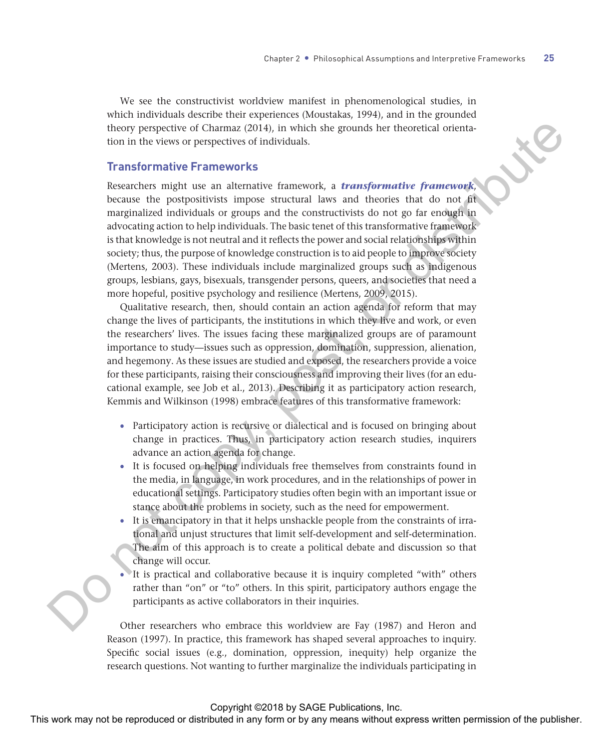We see the constructivist worldview manifest in phenomenological studies, in which individuals describe their experiences (Moustakas, 1994), and in the grounded theory perspective of Charmaz (2014), in which she grounds her theoretical orientation in the views or perspectives of individuals.

#### **Transformative Frameworks**

Researchers might use an alternative framework, a *transformative framework*, because the postpositivists impose structural laws and theories that do not fit marginalized individuals or groups and the constructivists do not go far enough in advocating action to help individuals. The basic tenet of this transformative framework is that knowledge is not neutral and it reflects the power and social relationships within society; thus, the purpose of knowledge construction is to aid people to improve society (Mertens, 2003). These individuals include marginalized groups such as indigenous groups, lesbians, gays, bisexuals, transgender persons, queers, and societies that need a more hopeful, positive psychology and resilience (Mertens, 2009, 2015). there, we have been compressive of Calinary and the repressive or the publisher. The publisher is the repressive that the repressive or the publisher of the contributed in a properties that the reproduced in a may not be

Qualitative research, then, should contain an action agenda for reform that may change the lives of participants, the institutions in which they live and work, or even the researchers' lives. The issues facing these marginalized groups are of paramount importance to study—issues such as oppression, domination, suppression, alienation, and hegemony. As these issues are studied and exposed, the researchers provide a voice for these participants, raising their consciousness and improving their lives (for an educational example, see Job et al., 2013). Describing it as participatory action research, Kemmis and Wilkinson (1998) embrace features of this transformative framework:

- Participatory action is recursive or dialectical and is focused on bringing about change in practices. Thus, in participatory action research studies, inquirers advance an action agenda for change.
- It is focused on helping individuals free themselves from constraints found in the media, in language, in work procedures, and in the relationships of power in educational settings. Participatory studies often begin with an important issue or stance about the problems in society, such as the need for empowerment.
- It is emancipatory in that it helps unshackle people from the constraints of irrational and unjust structures that limit self-development and self-determination. The aim of this approach is to create a political debate and discussion so that change will occur.
- It is practical and collaborative because it is inquiry completed "with" others rather than "on" or "to" others. In this spirit, participatory authors engage the participants as active collaborators in their inquiries.

Other researchers who embrace this worldview are Fay (1987) and Heron and Reason (1997). In practice, this framework has shaped several approaches to inquiry. Specific social issues (e.g., domination, oppression, inequity) help organize the research questions. Not wanting to further marginalize the individuals participating in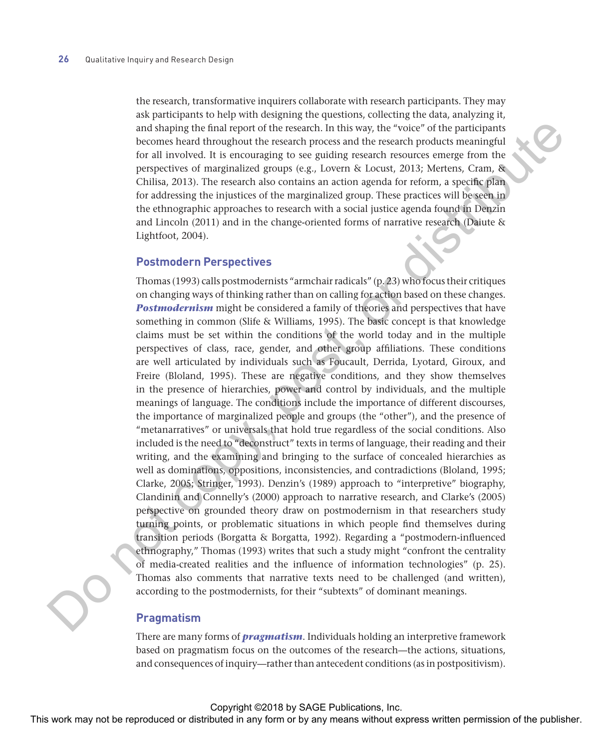the research, transformative inquirers collaborate with research participants. They may ask participants to help with designing the questions, collecting the data, analyzing it, and shaping the final report of the research. In this way, the "voice" of the participants becomes heard throughout the research process and the research products meaningful for all involved. It is encouraging to see guiding research resources emerge from the perspectives of marginalized groups (e.g., Lovern & Locust, 2013; Mertens, Cram, & Chilisa, 2013). The research also contains an action agenda for reform, a specific plan for addressing the injustices of the marginalized group. These practices will be seen in the ethnographic approaches to research with a social justice agenda found in Denzin and Lincoln (2011) and in the change-oriented forms of narrative research (Daiute & Lightfoot, 2004).

#### **Postmodern Perspectives**

Thomas (1993) calls postmodernists "armchair radicals" (p. 23) who focus their critiques on changing ways of thinking rather than on calling for action based on these changes. **Postmodernism** might be considered a family of theories and perspectives that have something in common (Slife & Williams, 1995). The basic concept is that knowledge claims must be set within the conditions of the world today and in the multiple perspectives of class, race, gender, and other group affiliations. These conditions are well articulated by individuals such as Foucault, Derrida, Lyotard, Giroux, and Freire (Bloland, 1995). These are negative conditions, and they show themselves in the presence of hierarchies, power and control by individuals, and the multiple meanings of language. The conditions include the importance of different discourses, the importance of marginalized people and groups (the "other"), and the presence of "metanarratives" or universals that hold true regardless of the social conditions. Also included is the need to "deconstruct" texts in terms of language, their reading and their writing, and the examining and bringing to the surface of concealed hierarchies as well as dominations, oppositions, inconsistencies, and contradictions (Bloland, 1995; Clarke, 2005; Stringer, 1993). Denzin's (1989) approach to "interpretive" biography, Clandinin and Connelly's (2000) approach to narrative research, and Clarke's (2005) perspective on grounded theory draw on postmodernism in that researchers study turning points, or problematic situations in which people find themselves during transition periods (Borgatta & Borgatta, 1992). Regarding a "postmodern-influenced ethnography," Thomas (1993) writes that such a study might "confront the centrality of media-created realities and the influence of information technologies" (p. 25). Thomas also comments that narrative texts need to be challenged (and written), according to the postmodernists, for their "subtexts" of dominant meanings. The representation of the reproduced or the relationship of the relationship or distributed in a property or the matter of the relationship is the system in any form of the relationship of the matter and the publisher. Co

#### **Pragmatism**

There are many forms of *pragmatism*. Individuals holding an interpretive framework based on pragmatism focus on the outcomes of the research—the actions, situations, and consequences of inquiry—rather than antecedent conditions (as in postpositivism).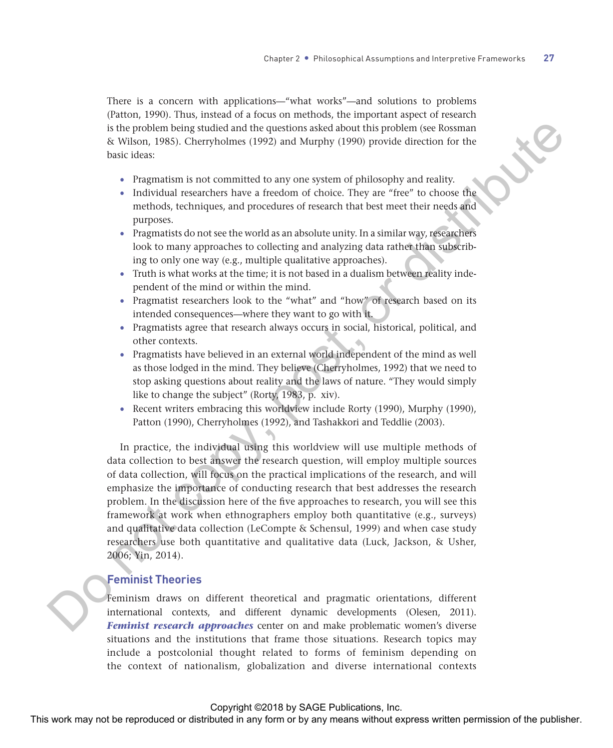There is a concern with applications—"what works"—and solutions to problems (Patton, 1990). Thus, instead of a focus on methods, the important aspect of research is the problem being studied and the questions asked about this problem (see Rossman & Wilson, 1985). Cherryholmes (1992) and Murphy (1990) provide direction for the basic ideas:

- Pragmatism is not committed to any one system of philosophy and reality.
- Individual researchers have a freedom of choice. They are "free" to choose the methods, techniques, and procedures of research that best meet their needs and purposes.
- Pragmatists do not see the world as an absolute unity. In a similar way, researchers look to many approaches to collecting and analyzing data rather than subscribing to only one way (e.g., multiple qualitative approaches).
- Truth is what works at the time; it is not based in a dualism between reality independent of the mind or within the mind.
- Pragmatist researchers look to the "what" and "how" of research based on its intended consequences—where they want to go with it.
- Pragmatists agree that research always occurs in social, historical, political, and other contexts.
- Pragmatists have believed in an external world independent of the mind as well as those lodged in the mind. They believe (Cherryholmes, 1992) that we need to stop asking questions about reality and the laws of nature. "They would simply like to change the subject" (Rorty, 1983, p. xiv).
- Recent writers embracing this worldview include Rorty (1990), Murphy (1990), Patton (1990), Cherryholmes (1992), and Tashakkori and Teddlie (2003).

In practice, the individual using this worldview will use multiple methods of data collection to best answer the research question, will employ multiple sources of data collection, will focus on the practical implications of the research, and will emphasize the importance of conducting research that best addresses the research problem. In the discussion here of the five approaches to research, you will see this framework at work when ethnographers employ both quantitative (e.g., surveys) and qualitative data collection (LeCompte & Schensul, 1999) and when case study researchers use both quantitative and qualitative data (Luck, Jackson, & Usher, 2006; Yin, 2014). Stephenben between the representation of the reproduced about his produced in any form or by any form or  $\theta$  the reproduced in any form or  $\theta$  the repression of the publisher.<br>
The publisher and computed to any one syst

#### **Feminist Theories**

Feminism draws on different theoretical and pragmatic orientations, different international contexts, and different dynamic developments (Olesen, 2011). *Feminist research approaches* center on and make problematic women's diverse situations and the institutions that frame those situations. Research topics may include a postcolonial thought related to forms of feminism depending on the context of nationalism, globalization and diverse international contexts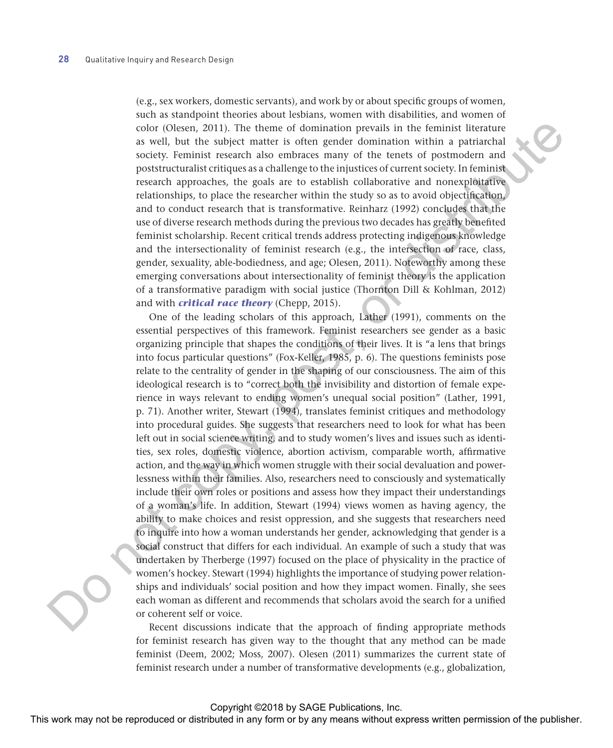(e.g., sex workers, domestic servants), and work by or about specific groups of women, such as standpoint theories about lesbians, women with disabilities, and women of color (Olesen, 2011). The theme of domination prevails in the feminist literature as well, but the subject matter is often gender domination within a patriarchal society. Feminist research also embraces many of the tenets of postmodern and poststructuralist critiques as a challenge to the injustices of current society. In feminist research approaches, the goals are to establish collaborative and nonexploitative relationships, to place the researcher within the study so as to avoid objectification, and to conduct research that is transformative. Reinharz (1992) concludes that the use of diverse research methods during the previous two decades has greatly benefited feminist scholarship. Recent critical trends address protecting indigenous knowledge and the intersectionality of feminist research (e.g., the intersection of race, class, gender, sexuality, able-bodiedness, and age; Olesen, 2011). Noteworthy among these emerging conversations about intersectionality of feminist theory is the application of a transformative paradigm with social justice (Thornton Dill & Kohlman, 2012) and with *critical race theory* (Chepp, 2015).

One of the leading scholars of this approach, Lather (1991), comments on the essential perspectives of this framework. Feminist researchers see gender as a basic organizing principle that shapes the conditions of their lives. It is "a lens that brings into focus particular questions" (Fox-Keller, 1985, p. 6). The questions feminists pose relate to the centrality of gender in the shaping of our consciousness. The aim of this ideological research is to "correct both the invisibility and distortion of female experience in ways relevant to ending women's unequal social position" (Lather, 1991, p. 71). Another writer, Stewart (1994), translates feminist critiques and methodology into procedural guides. She suggests that researchers need to look for what has been left out in social science writing, and to study women's lives and issues such as identities, sex roles, domestic violence, abortion activism, comparable worth, affirmative action, and the way in which women struggle with their social devaluation and powerlessness within their families. Also, researchers need to consciously and systematically include their own roles or positions and assess how they impact their understandings of a woman's life. In addition, Stewart (1994) views women as having agency, the ability to make choices and resist oppression, and she suggests that researchers need to inquire into how a woman understands her gender, acknowledging that gender is a social construct that differs for each individual. An example of such a study that was undertaken by Therberge (1997) focused on the place of physicality in the practice of women's hockey. Stewart (1994) highlights the importance of studying power relationships and individuals' social position and how they impact women. Finally, she sees each woman as different and recommends that scholars avoid the search for a unified or coherent self or voice. Let the control or the reproduced or distributed in the results in the result of the results of the results of the results of the results of the results of the results of the results of the results of the results of the r

Recent discussions indicate that the approach of finding appropriate methods for feminist research has given way to the thought that any method can be made feminist (Deem, 2002; Moss, 2007). Olesen (2011) summarizes the current state of feminist research under a number of transformative developments (e.g., globalization,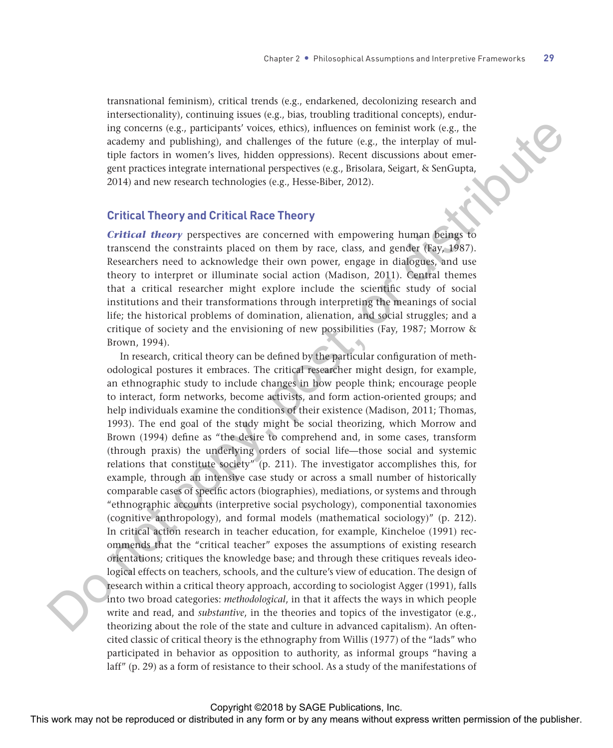transnational feminism), critical trends (e.g., endarkened, decolonizing research and intersectionality), continuing issues (e.g., bias, troubling traditional concepts), enduring concerns (e.g., participants' voices, ethics), influences on feminist work (e.g., the academy and publishing), and challenges of the future (e.g., the interplay of multiple factors in women's lives, hidden oppressions). Recent discussions about emergent practices integrate international perspectives (e.g., Brisolara, Seigart, & SenGupta, 2014) and new research technologies (e.g., Hesse-Biber, 2012).

#### **Critical Theory and Critical Race Theory**

*Critical theory* perspectives are concerned with empowering human beings to transcend the constraints placed on them by race, class, and gender (Fay, 1987). Researchers need to acknowledge their own power, engage in dialogues, and use theory to interpret or illuminate social action (Madison, 2011). Central themes that a critical researcher might explore include the scientific study of social institutions and their transformations through interpreting the meanings of social life; the historical problems of domination, alienation, and social struggles; and a critique of society and the envisioning of new possibilities (Fay, 1987; Morrow & Brown, 1994).

In research, critical theory can be defined by the particular configuration of methodological postures it embraces. The critical researcher might design, for example, an ethnographic study to include changes in how people think; encourage people to interact, form networks, become activists, and form action-oriented groups; and help individuals examine the conditions of their existence (Madison, 2011; Thomas, 1993). The end goal of the study might be social theorizing, which Morrow and Brown (1994) define as "the desire to comprehend and, in some cases, transform (through praxis) the underlying orders of social life—those social and systemic relations that constitute society" (p. 211). The investigator accomplishes this, for example, through an intensive case study or across a small number of historically comparable cases of specific actors (biographies), mediations, or systems and through "ethnographic accounts (interpretive social psychology), componential taxonomies (cognitive anthropology), and formal models (mathematical sociology)" (p. 212). In critical action research in teacher education, for example, Kincheloe (1991) recommends that the "critical teacher" exposes the assumptions of existing research orientations; critiques the knowledge base; and through these critiques reveals ideological effects on teachers, schools, and the culture's view of education. The design of research within a critical theory approach, according to sociologist Agger (1991), falls into two broad categories: *methodological*, in that it affects the ways in which people write and read, and *substantive*, in the theories and topics of the investigator (e.g., theorizing about the role of the state and culture in advanced capitalism). An oftencited classic of critical theory is the ethnography from Willis (1977) of the "lads" who participated in behavior as opposition to authority, as informal groups "having a laff" (p. 29) as a form of resistance to their school. As a study of the manifestations of In one or the publishering, and cheme the content or herical stock may be reproduced to reproduce in sources in equality in the reproduced in the publishering of the state of the publishering of the publishering in any fi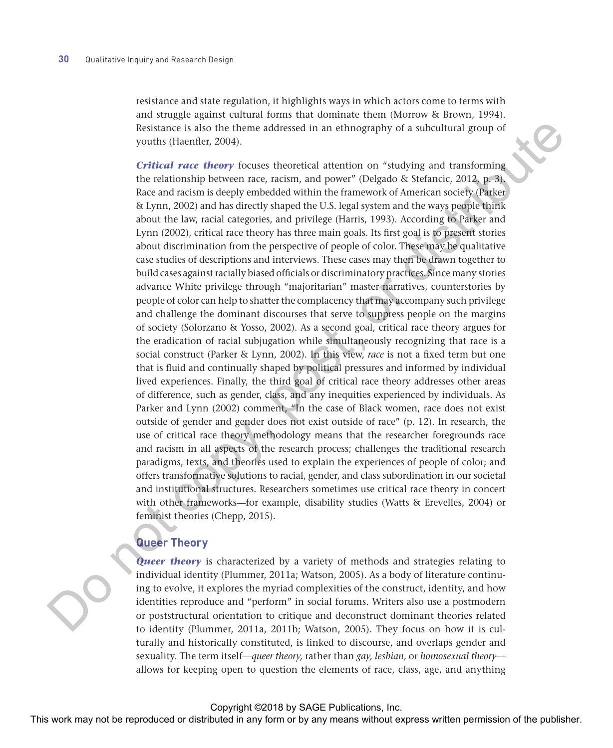resistance and state regulation, it highlights ways in which actors come to terms with and struggle against cultural forms that dominate them (Morrow & Brown, 1994). Resistance is also the theme addressed in an ethnography of a subcultural group of youths (Haenfler, 2004).

*Critical race theory* focuses theoretical attention on "studying and transforming the relationship between race, racism, and power" (Delgado & Stefancic, 2012, p. 3). Race and racism is deeply embedded within the framework of American society (Parker & Lynn, 2002) and has directly shaped the U.S. legal system and the ways people think about the law, racial categories, and privilege (Harris, 1993). According to Parker and Lynn (2002), critical race theory has three main goals. Its first goal is to present stories about discrimination from the perspective of people of color. These may be qualitative case studies of descriptions and interviews. These cases may then be drawn together to build cases against racially biased officials or discriminatory practices. Since many stories advance White privilege through "majoritarian" master narratives, counterstories by people of color can help to shatter the complacency that may accompany such privilege and challenge the dominant discourses that serve to suppress people on the margins of society (Solorzano & Yosso, 2002). As a second goal, critical race theory argues for the eradication of racial subjugation while simultaneously recognizing that race is a social construct (Parker & Lynn, 2002). In this view, *race* is not a fixed term but one that is fluid and continually shaped by political pressures and informed by individual lived experiences. Finally, the third goal of critical race theory addresses other areas of difference, such as gender, class, and any inequities experienced by individuals. As Parker and Lynn (2002) comment, "In the case of Black women, race does not exist outside of gender and gender does not exist outside of race" (p. 12). In research, the use of critical race theory methodology means that the researcher foregrounds race and racism in all aspects of the research process; challenges the traditional research paradigms, texts, and theories used to explain the experiences of people of color; and offers transformative solutions to racial, gender, and class subordination in our societal and institutional structures. Researchers sometimes use critical race theory in concert with other frameworks—for example, disability studies (Watts & Erevelles, 2004) or feminist theories (Chepp, 2015). Nexthere is a control or the result of the reproduced or distributed in any form or behinding any form or the publisher. The control or the publisher and the means were computed in a control or the publisher. So the small

#### **Queer Theory**

**Queer theory** is characterized by a variety of methods and strategies relating to individual identity (Plummer, 2011a; Watson, 2005). As a body of literature continuing to evolve, it explores the myriad complexities of the construct, identity, and how identities reproduce and "perform" in social forums. Writers also use a postmodern or poststructural orientation to critique and deconstruct dominant theories related to identity (Plummer, 2011a, 2011b; Watson, 2005). They focus on how it is culturally and historically constituted, is linked to discourse, and overlaps gender and sexuality. The term itself—*queer theory,* rather than *gay, lesbian,* or *homosexual theory* allows for keeping open to question the elements of race, class, age, and anything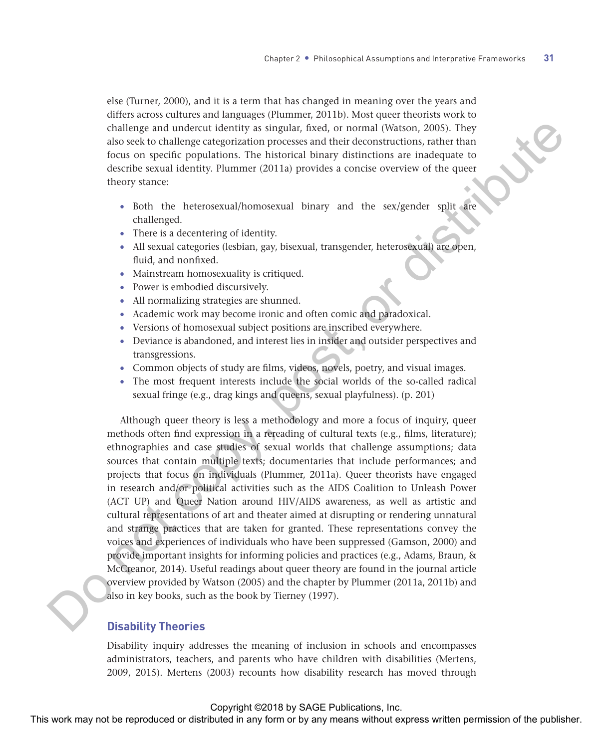else (Turner, 2000), and it is a term that has changed in meaning over the years and differs across cultures and languages (Plummer, 2011b). Most queer theorists work to challenge and undercut identity as singular, fixed, or normal (Watson, 2005). They also seek to challenge categorization processes and their deconstructions, rather than focus on specific populations. The historical binary distinctions are inadequate to describe sexual identity. Plummer (2011a) provides a concise overview of the queer theory stance:

- Both the heterosexual/homosexual binary and the sex/gender split are challenged.
- There is a decentering of identity.
- All sexual categories (lesbian, gay, bisexual, transgender, heterosexual) are open, fluid, and nonfixed.
- Mainstream homosexuality is critiqued.
- Power is embodied discursively.
- All normalizing strategies are shunned.
- Academic work may become ironic and often comic and paradoxical.
- Versions of homosexual subject positions are inscribed everywhere.
- Deviance is abandoned, and interest lies in insider and outsider perspectives and transgressions.
- Common objects of study are films, videos, novels, poetry, and visual images.
- The most frequent interests include the social worlds of the so-called radical sexual fringe (e.g., drag kings and queens, sexual playfulness). (p. 201)

Although queer theory is less a methodology and more a focus of inquiry, queer methods often find expression in a rereading of cultural texts (e.g., films, literature); ethnographies and case studies of sexual worlds that challenge assumptions; data sources that contain multiple texts; documentaries that include performances; and projects that focus on individuals (Plummer, 2011a). Queer theorists have engaged in research and/or political activities such as the AIDS Coalition to Unleash Power (ACT UP) and Queer Nation around HIV/AIDS awareness, as well as artistic and cultural representations of art and theater aimed at disrupting or rendering unnatural and strange practices that are taken for granted. These representations convey the voices and experiences of individuals who have been suppressed (Gamson, 2000) and provide important insights for informing policies and practices (e.g., Adams, Braun, & McCreanor, 2014). Useful readings about queer theory are found in the journal article overview provided by Watson (2005) and the chapter by Plummer (2011a, 2011b) and also in key books, such as the book by Tierney (1997). College and the reproduced or distributed in any form or distributed in any form or by any form or the reproduced in any form or by any form or by any form or by any means with the publisher. The ristributed binary distri

#### **Disability Theories**

Disability inquiry addresses the meaning of inclusion in schools and encompasses administrators, teachers, and parents who have children with disabilities (Mertens, 2009, 2015). Mertens (2003) recounts how disability research has moved through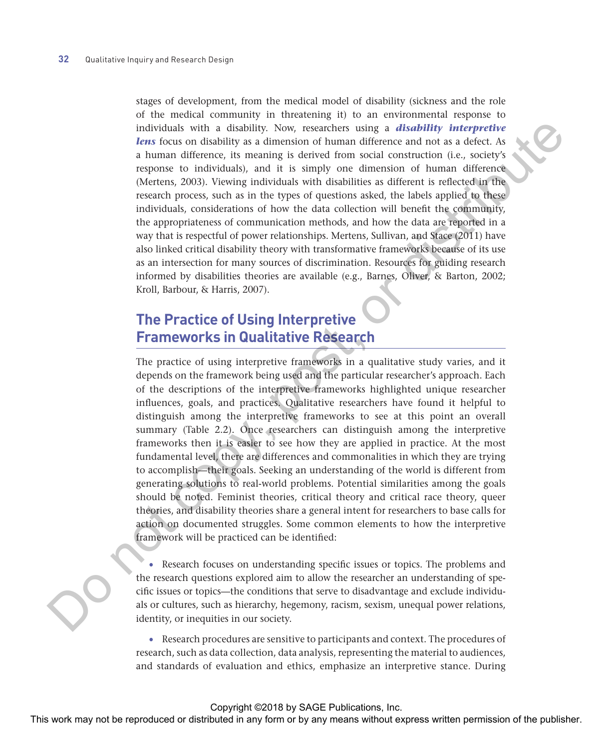stages of development, from the medical model of disability (sickness and the role of the medical community in threatening it) to an environmental response to individuals with a disability. Now, researchers using a *disability interpretive lens* focus on disability as a dimension of human difference and not as a defect. As a human difference, its meaning is derived from social construction (i.e., society's response to individuals), and it is simply one dimension of human difference (Mertens, 2003). Viewing individuals with disabilities as different is reflected in the research process, such as in the types of questions asked, the labels applied to these individuals, considerations of how the data collection will benefit the community, the appropriateness of communication methods, and how the data are reported in a way that is respectful of power relationships. Mertens, Sullivan, and Stace (2011) have also linked critical disability theory with transformative frameworks because of its use as an intersection for many sources of discrimination. Resources for guiding research informed by disabilities theories are available (e.g., Barnes, Oliver, & Barton, 2002; Kroll, Barbour, & Harris, 2007).

# **The Practice of Using Interpretive Frameworks in Qualitative Research**

The practice of using interpretive frameworks in a qualitative study varies, and it depends on the framework being used and the particular researcher's approach. Each of the descriptions of the interpretive frameworks highlighted unique researcher influences, goals, and practices. Qualitative researchers have found it helpful to distinguish among the interpretive frameworks to see at this point an overall summary (Table 2.2). Once researchers can distinguish among the interpretive frameworks then it is easier to see how they are applied in practice. At the most fundamental level, there are differences and commonalities in which they are trying to accomplish—their goals. Seeking an understanding of the world is different from generating solutions to real-world problems. Potential similarities among the goals should be noted. Feminist theories, critical theory and critical race theory, queer theories, and disability theories share a general intent for researchers to base calls for action on documented struggles. Some common elements to how the interpretive framework will be practiced can be identified: In this work may not be represented or distribution for the reproduced in any formula in the reproduced in the reproduced in any means with a stributed in the reproduced in any means when the represent to a means of the r

• Research focuses on understanding specific issues or topics. The problems and the research questions explored aim to allow the researcher an understanding of specific issues or topics—the conditions that serve to disadvantage and exclude individuals or cultures, such as hierarchy, hegemony, racism, sexism, unequal power relations, identity, or inequities in our society.

• Research procedures are sensitive to participants and context. The procedures of research, such as data collection, data analysis, representing the material to audiences, and standards of evaluation and ethics, emphasize an interpretive stance. During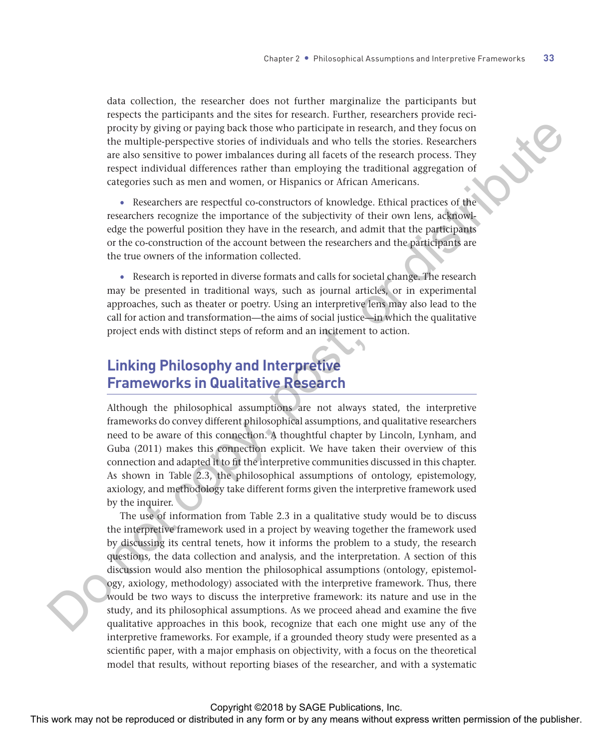data collection, the researcher does not further marginalize the participants but respects the participants and the sites for research. Further, researchers provide reciprocity by giving or paying back those who participate in research, and they focus on the multiple-perspective stories of individuals and who tells the stories. Researchers are also sensitive to power imbalances during all facets of the research process. They respect individual differences rather than employing the traditional aggregation of categories such as men and women, or Hispanics or African Americans.

• Researchers are respectful co-constructors of knowledge. Ethical practices of the researchers recognize the importance of the subjectivity of their own lens, acknowledge the powerful position they have in the research, and admit that the participants or the co-construction of the account between the researchers and the participants are the true owners of the information collected.

• Research is reported in diverse formats and calls for societal change. The research may be presented in traditional ways, such as journal articles, or in experimental approaches, such as theater or poetry. Using an interpretive lens may also lead to the call for action and transformation—the aims of social justice—in which the qualitative project ends with distinct steps of reform and an incitement to action.

# **Linking Philosophy and Interpretive Frameworks in Qualitative Research**

Although the philosophical assumptions are not always stated, the interpretive frameworks do convey different philosophical assumptions, and qualitative researchers need to be aware of this connection. A thoughtful chapter by Lincoln, Lynham, and Guba (2011) makes this connection explicit. We have taken their overview of this connection and adapted it to fit the interpretive communities discussed in this chapter. As shown in Table 2.3, the philosophical assumptions of ontology, epistemology, axiology, and methodology take different forms given the interpretive framework used by the inquirer.

The use of information from Table 2.3 in a qualitative study would be to discuss the interpretive framework used in a project by weaving together the framework used by discussing its central tenets, how it informs the problem to a study, the research questions, the data collection and analysis, and the interpretation. A section of this discussion would also mention the philosophical assumptions (ontology, epistemology, axiology, methodology) associated with the interpretive framework. Thus, there would be two ways to discuss the interpretive framework: its nature and use in the study, and its philosophical assumptions. As we proceed ahead and examine the five qualitative approaches in this book, recognize that each one might use any of the interpretive frameworks. For example, if a grounded theory study were presented as a scientific paper, with a major emphasis on objectivity, with a focus on the theoretical model that results, without reporting biases of the researcher, and with a systematic produced or the representation or distributed in a<br>space in any form of the publisher and the publisher and the publisher or distributed in any form or the publisher or distributed in any form of the publisher of the publ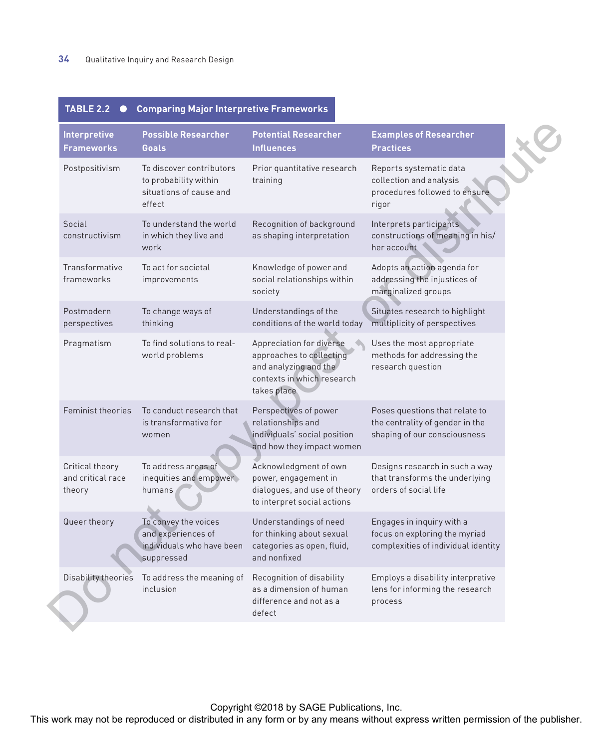| <b>Interpretive</b><br><b>Frameworks</b>       | <b>Possible Researcher</b><br>Goals                                                      | <b>Potential Researcher</b><br><b>Influences</b>                                                                           | <b>Examples of Researcher</b><br><b>Practices</b>                                                 |
|------------------------------------------------|------------------------------------------------------------------------------------------|----------------------------------------------------------------------------------------------------------------------------|---------------------------------------------------------------------------------------------------|
| Postpositivism                                 | To discover contributors<br>to probability within<br>situations of cause and<br>effect   | Prior quantitative research<br>training                                                                                    | Reports systematic data<br>collection and analysis<br>procedures followed to ensure<br>rigor      |
| Social<br>constructivism                       | To understand the world<br>in which they live and<br>work                                | Recognition of background<br>as shaping interpretation                                                                     | Interprets participants<br>constructions of meaning in his/<br>her account                        |
| Transformative<br>frameworks                   | To act for societal<br>improvements                                                      | Knowledge of power and<br>social relationships within<br>society                                                           | Adopts an action agenda for<br>addressing the injustices of<br>marginalized groups                |
| Postmodern<br>perspectives                     | To change ways of<br>thinking                                                            | Understandings of the<br>conditions of the world today                                                                     | Situates research to highlight<br>multiplicity of perspectives                                    |
| Pragmatism                                     | To find solutions to real-<br>world problems                                             | Appreciation for diverse<br>approaches to collecting<br>and analyzing and the<br>contexts in which research<br>takes place | Uses the most appropriate<br>methods for addressing the<br>research question                      |
| <b>Feminist theories</b>                       | To conduct research that<br>is transformative for<br>women                               | Perspectives of power<br>relationships and<br>individuals' social position<br>and how they impact women                    | Poses questions that relate to<br>the centrality of gender in the<br>shaping of our consciousness |
| Critical theory<br>and critical race<br>theory | To address areas of<br>inequities and empower<br>humans                                  | Acknowledgment of own<br>power, engagement in<br>dialogues, and use of theory<br>to interpret social actions               | Designs research in such a way<br>that transforms the underlying<br>orders of social life         |
| Queer theory                                   | To convey the voices<br>and experiences of<br>individuals who have been<br>suppressed    | Understandings of need<br>for thinking about sexual<br>categories as open, fluid,<br>and nonfixed                          | Engages in inquiry with a<br>focus on exploring the myriad<br>complexities of individual identity |
| Disability theories                            | To address the meaning of Recognition of disability<br>inclusion as a dimension of human | difference and not as a<br>defect                                                                                          | Employs a disability interpretive<br>lens for informing the research<br>process                   |

Copyright ©2018 by SAGE Publications, Inc.<br>This work may not be reproduced or distributed in any form or by any means without express written permission of the publisher.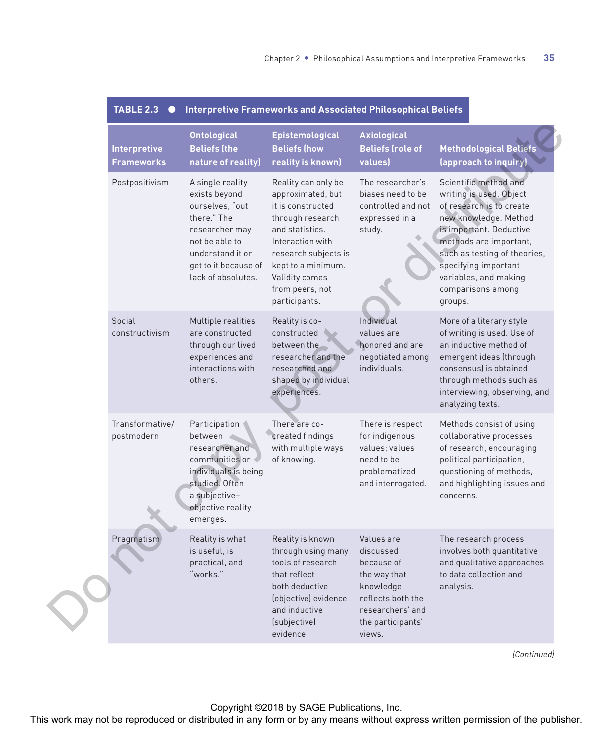| Interpretive<br><b>Frameworks</b> | <b>Ontological</b><br><b>Beliefs (the</b><br>nature of reality)                                                                                                           | <b>Epistemological</b><br><b>Beliefs (how</b><br>reality is known)                                                                                                                                                           | <b>Axiological</b><br><b>Beliefs (role of</b><br>values)                                                                                   | <b>Methodological Beliefs</b><br>(approach to inquiry)                                                                                                                                                                                                                      |
|-----------------------------------|---------------------------------------------------------------------------------------------------------------------------------------------------------------------------|------------------------------------------------------------------------------------------------------------------------------------------------------------------------------------------------------------------------------|--------------------------------------------------------------------------------------------------------------------------------------------|-----------------------------------------------------------------------------------------------------------------------------------------------------------------------------------------------------------------------------------------------------------------------------|
| Postpositivism                    | A single reality<br>exists beyond<br>ourselves. "out<br>there." The<br>researcher may<br>not be able to<br>understand it or<br>get to it because of<br>lack of absolutes. | Reality can only be<br>approximated, but<br>it is constructed<br>through research<br>and statistics.<br>Interaction with<br>research subjects is<br>kept to a minimum.<br>Validity comes<br>from peers, not<br>participants. | The researcher's<br>biases need to be<br>controlled and not<br>expressed in a<br>study.                                                    | Scientific method and<br>writing is used. Object<br>of research is to create<br>new knowledge. Method<br>is important. Deductive<br>methods are important,<br>such as testing of theories,<br>specifying important<br>variables, and making<br>comparisons among<br>groups. |
| Social<br>constructivism          | Multiple realities<br>are constructed<br>through our lived<br>experiences and<br>interactions with<br>others.                                                             | Reality is co-<br>constructed<br>between the<br>researcher and the<br>researched and<br>shaped by individual<br>experiences.                                                                                                 | Individual<br>values are<br>honored and are<br>negotiated among<br>individuals.                                                            | More of a literary style<br>of writing is used. Use of<br>an inductive method of<br>emergent ideas (through<br>consensus) is obtained<br>through methods such as<br>interviewing, observing, and<br>analyzing texts.                                                        |
| Transformative/<br>postmodern     | Participation<br>between<br>researcher and<br>communities or<br>individuals is being<br>studied. Often<br>a subjective-<br>objective reality<br>emerges.                  | There are co-<br>created findings<br>with multiple ways<br>of knowing.                                                                                                                                                       | There is respect<br>for indigenous<br>values; values<br>need to be<br>problematized<br>and interrogated.                                   | Methods consist of using<br>collaborative processes<br>of research, encouraging<br>political participation,<br>questioning of methods,<br>and highlighting issues and<br>concerns.                                                                                          |
| Pragmatism                        | Reality is what<br>is useful, is<br>practical, and<br>'works."                                                                                                            | Reality is known<br>through using many<br>tools of research<br>that reflect<br>both deductive<br>(objective) evidence<br>and inductive<br>(subjective)<br>evidence.                                                          | Values are<br>discussed<br>because of<br>the way that<br>knowledge<br>reflects both the<br>researchers' and<br>the participants'<br>views. | The research process<br>involves both quantitative<br>and qualitative approaches<br>to data collection and<br>analysis.                                                                                                                                                     |
|                                   |                                                                                                                                                                           |                                                                                                                                                                                                                              |                                                                                                                                            | (Continued)                                                                                                                                                                                                                                                                 |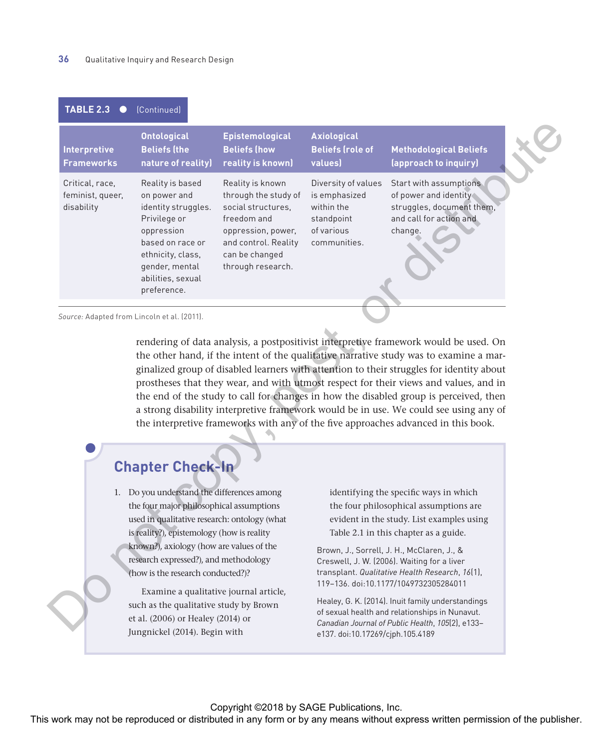| Interpretive<br><b>Frameworks</b>                 | <b>Ontological</b><br><b>Beliefs (the</b><br>nature of reality)                                                                                                                                                 | <b>Epistemological</b><br><b>Beliefs (how</b><br>reality is known)                                                                                                 | <b>Axiological</b><br><b>Beliefs (role of</b><br>values)                                       | <b>Methodological Beliefs</b><br>(approach to inquiry)                                                                                                                                                                                                               |
|---------------------------------------------------|-----------------------------------------------------------------------------------------------------------------------------------------------------------------------------------------------------------------|--------------------------------------------------------------------------------------------------------------------------------------------------------------------|------------------------------------------------------------------------------------------------|----------------------------------------------------------------------------------------------------------------------------------------------------------------------------------------------------------------------------------------------------------------------|
| Critical, race,<br>feminist, queer,<br>disability | Reality is based<br>on power and<br>identity struggles.<br>Privilege or<br>oppression<br>based on race or<br>ethnicity, class,<br>gender, mental<br>abilities, sexual<br>preference.                            | Reality is known<br>through the study of<br>social structures,<br>freedom and<br>oppression, power,<br>and control. Reality<br>can be changed<br>through research. | Diversity of values<br>is emphasized<br>within the<br>standpoint<br>of various<br>communities. | Start with assumptions<br>of power and identity<br>struggles, document them,<br>and call for action and<br>change.                                                                                                                                                   |
|                                                   | Source: Adapted from Lincoln et al. (2011).                                                                                                                                                                     |                                                                                                                                                                    |                                                                                                |                                                                                                                                                                                                                                                                      |
|                                                   |                                                                                                                                                                                                                 |                                                                                                                                                                    |                                                                                                | prostheses that they wear, and with utmost respect for their views and values, and in                                                                                                                                                                                |
|                                                   |                                                                                                                                                                                                                 |                                                                                                                                                                    |                                                                                                | the end of the study to call for changes in how the disabled group is perceived, then<br>a strong disability interpretive framework would be in use. We could see using any of<br>the interpretive frameworks with any of the five approaches advanced in this book. |
|                                                   | <b>Chapter Check-In</b><br>1. Do you understand the differences among<br>the four major philosophical assumptions<br>used in qualitative research: ontology (what<br>is reality?), epistemology (how is reality |                                                                                                                                                                    |                                                                                                | identifying the specific ways in which<br>the four philosophical assumptions are<br>evident in the study. List examples using<br>Table 2.1 in this chapter as a guide.                                                                                               |
|                                                   | known?), axiology (how are values of the<br>research expressed?), and methodology<br>(how is the research conducted?)?                                                                                          |                                                                                                                                                                    |                                                                                                | Brown, J., Sorrell, J. H., McClaren, J., &<br>Creswell, J. W. (2006). Waiting for a liver<br>transplant. Qualitative Health Research, 16(1),<br>119-136. doi:10.1177/1049732305284011                                                                                |
|                                                   | such as the qualitative study by Brown<br>et al. (2006) or Healey (2014) or<br>Jungnickel (2014). Begin with                                                                                                    | Examine a qualitative journal article,                                                                                                                             | e137. doi:10.17269/cjph.105.4189                                                               | Healey, G. K. (2014). Inuit family understandings<br>of sexual health and relationships in Nunavut.<br>Canadian Journal of Public Health, 105(2), e133-                                                                                                              |

# **Chapter Check-In**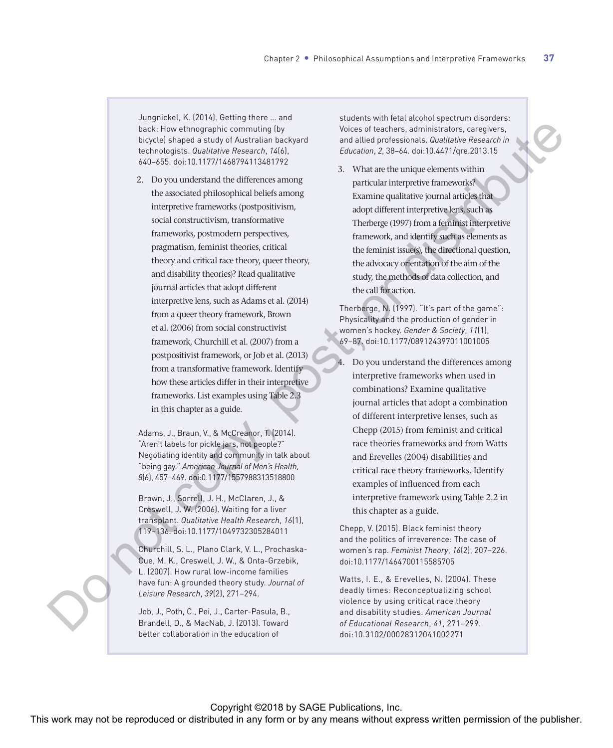Jungnickel, K. (2014). Getting there … and back: How ethnographic commuting (by bicycle) shaped a study of Australian backyard technologists. *Qualitative Research*, *14*(6), 640–655. doi:10.1177/1468794113481792

2. Do you understand the differences among the associated philosophical beliefs among interpretive frameworks (postpositivism, social constructivism, transformative frameworks, postmodern perspectives, pragmatism, feminist theories, critical theory and critical race theory, queer theory, and disability theories)? Read qualitative journal articles that adopt different interpretive lens, such as Adams et al. (2014) from a queer theory framework, Brown et al. (2006) from social constructivist framework, Churchill et al. (2007) from a postpositivist framework, or Job et al. (2013) from a transformative framework. Identify how these articles differ in their interpretive frameworks. List examples using Table 2.3 in this chapter as a guide. The velocity is a continuous continuous continuous continuous continuous continuous continuous continuous continuous continuous continuous continuous continuous continuous continuous continuous continuous continuous conti

Adams, J., Braun, V., & McCreanor, T. (2014). "Aren't labels for pickle jars, not people?" Negotiating identity and community in talk about "being gay." *American Journal of Men's Health, 8*(6), 457–469. doi:0.1177/1557988313518800

Brown, J., Sorrell, J. H., McClaren, J., & Creswell, J. W. (2006). Waiting for a liver transplant. *Qualitative Health Research*, *16*(1), 119–136. doi:10.1177/1049732305284011

Churchill, S. L., Plano Clark, V. L., Prochaska-Cue, M. K., Creswell, J. W., & Onta-Grzebik, L. (2007). How rural low-income families have fun: A grounded theory study. *Journal of Leisure Research*, *39*(2), 271–294.

Job, J., Poth, C., Pei, J., Carter-Pasula, B., Brandell, D., & MacNab, J. (2013). Toward better collaboration in the education of

students with fetal alcohol spectrum disorders: Voices of teachers, administrators, caregivers, and allied professionals. *Qualitative Research in Education*, *2*, 38–64. doi:10.4471/qre.2013.15

3. What are the unique elements within particular interpretive frameworks? Examine qualitative journal articles that adopt different interpretive lens, such as Therberge (1997) from a feminist interpretive framework, and identify such as elements as the feminist issue(s), the directional question, the advocacy orientation of the aim of the study, the methods of data collection, and the call for action.

Therberge, N. (1997). "It's part of the game": Physicality and the production of gender in women's hockey. *Gender & Society*, *11*(1), 69–87. doi:10.1177/089124397011001005

4. Do you understand the differences among interpretive frameworks when used in combinations? Examine qualitative journal articles that adopt a combination of different interpretive lenses, such as Chepp (2015) from feminist and critical race theories frameworks and from Watts and Erevelles (2004) disabilities and critical race theory frameworks. Identify examples of influenced from each interpretive framework using Table 2.2 in this chapter as a guide.

Chepp, V. (2015). Black feminist theory and the politics of irreverence: The case of women's rap. *Feminist Theory*, *16*(2), 207–226. doi:10.1177/1464700115585705

Watts, I. E., & Erevelles, N. (2004). These deadly times: Reconceptualizing school violence by using critical race theory and disability studies. *American Journal of Educational Research*, *41*, 271–299. doi:10.3102/00028312041002271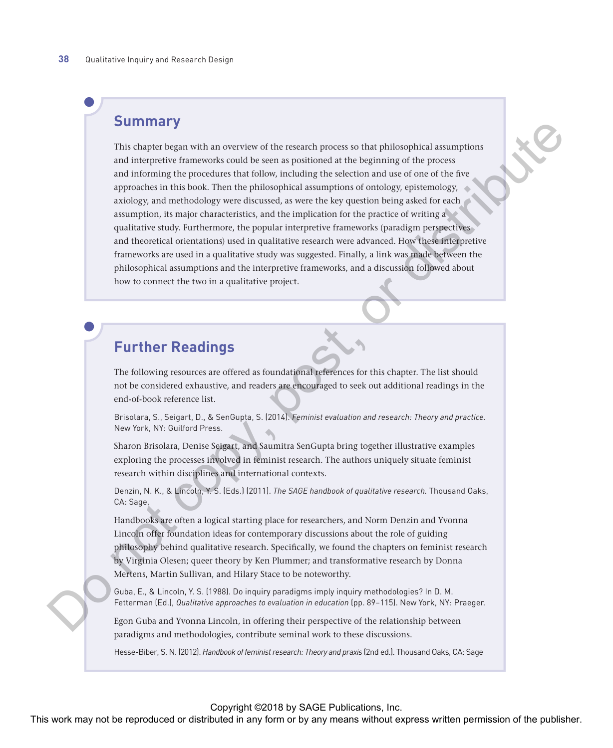### **Summary**

This chapter began with an overview of the research process so that philosophical assumptions and interpretive frameworks could be seen as positioned at the beginning of the process and informing the procedures that follow, including the selection and use of one of the five approaches in this book. Then the philosophical assumptions of ontology, epistemology, axiology, and methodology were discussed, as were the key question being asked for each assumption, its major characteristics, and the implication for the practice of writing a qualitative study. Furthermore, the popular interpretive frameworks (paradigm perspectives and theoretical orientations) used in qualitative research were advanced. How these interpretive frameworks are used in a qualitative study was suggested. Finally, a link was made between the philosophical assumptions and the interpretive frameworks, and a discussion followed about how to connect the two in a qualitative project. **SUITER 1999**<br>
This shape begins with an overview of the research certe to publisher and are interesting the case of the form of the publisher or distributed in the publisher of the publisher. The case of the form or any

# **Further Readings**

The following resources are offered as foundational references for this chapter. The list should not be considered exhaustive, and readers are encouraged to seek out additional readings in the end-of-book reference list.

Brisolara, S., Seigart, D., & SenGupta, S. (2014). *Feminist evaluation and research: Theory and practice.* New York, NY: Guilford Press.

Sharon Brisolara, Denise Seigart, and Saumitra SenGupta bring together illustrative examples exploring the processes involved in feminist research. The authors uniquely situate feminist research within disciplines and international contexts.

Denzin, N. K., & Lincoln, Y. S. (Eds.) (2011). *The SAGE handbook of qualitative research.* Thousand Oaks, CA: Sage.

Handbooks are often a logical starting place for researchers, and Norm Denzin and Yvonna Lincoln offer foundation ideas for contemporary discussions about the role of guiding philosophy behind qualitative research. Specifically, we found the chapters on feminist research by Virginia Olesen; queer theory by Ken Plummer; and transformative research by Donna Mertens, Martin Sullivan, and Hilary Stace to be noteworthy.

Guba, E., & Lincoln, Y. S. (1988). Do inquiry paradigms imply inquiry methodologies? In D. M. Fetterman (Ed.), *Qualitative approaches to evaluation in education* (pp. 89–115). New York, NY: Praeger.

Egon Guba and Yvonna Lincoln, in offering their perspective of the relationship between paradigms and methodologies, contribute seminal work to these discussions.

Hesse-Biber, S. N. (2012). *Handbook of feminist research: Theory and praxis* (2nd ed.). Thousand Oaks, CA: Sage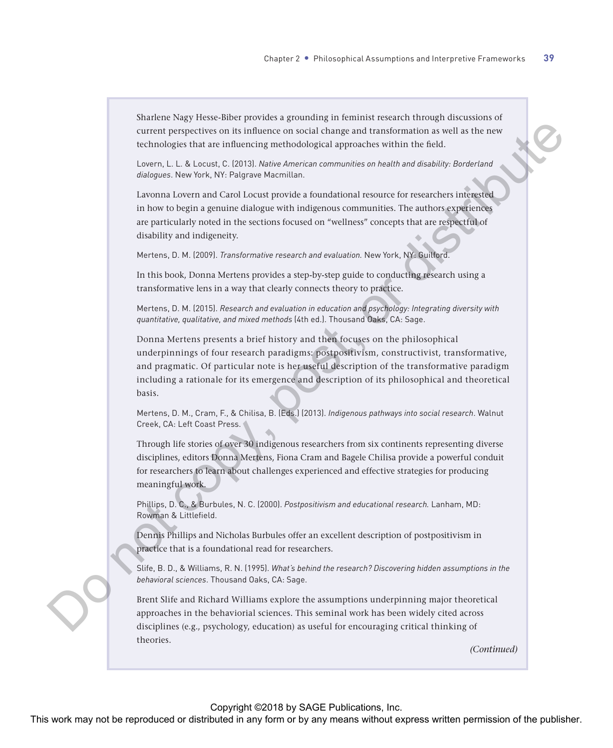Sharlene Nagy Hesse-Biber provides a grounding in feminist research through discussions of current perspectives on its influence on social change and transformation as well as the new technologies that are influencing methodological approaches within the field.

Lovern, L. L. & Locust, C. (2013). *Native American communities on health and disability: Borderland dialogues*. New York, NY: Palgrave Macmillan.

Lavonna Lovern and Carol Locust provide a foundational resource for researchers interested in how to begin a genuine dialogue with indigenous communities. The authors experiences are particularly noted in the sections focused on "wellness" concepts that are respectful of disability and indigeneity.

Mertens, D. M. (2009). *Transformative research and evaluation.* New York, NY: Guilford.

In this book, Donna Mertens provides a step-by-step guide to conducting research using a transformative lens in a way that clearly connects theory to practice.

Mertens, D. M. (2015). *Research and evaluation in education and psychology: Integrating diversity with quantitative, qualitative, and mixed methods* (4th ed.). Thousand Oaks, CA: Sage.

Donna Mertens presents a brief history and then focuses on the philosophical underpinnings of four research paradigms: postpositivism, constructivist, transformative, and pragmatic. Of particular note is her useful description of the transformative paradigm including a rationale for its emergence and description of its philosophical and theoretical basis. EXTREP INTERFERITUATION THE CONTINUES CONTINUES IN AN INTERFERITUATION INTERFERITUATION THE CONTINUES CONTINUES INTO A CONTINUES CONTINUES INTO A CONTINUES CONTINUES OF THE CONTINUES OF THE CONTINUES OF THE CONTINUES OF T

Mertens, D. M., Cram, F., & Chilisa, B. (Eds.) (2013). *Indigenous pathways into social research*. Walnut Creek, CA: Left Coast Press.

Through life stories of over 30 indigenous researchers from six continents representing diverse disciplines, editors Donna Mertens, Fiona Cram and Bagele Chilisa provide a powerful conduit for researchers to learn about challenges experienced and effective strategies for producing meaningful work.

Phillips, D. C., & Burbules, N. C. (2000). *Postpositivism and educational research.* Lanham, MD: Rowman & Littlefield.

Dennis Phillips and Nicholas Burbules offer an excellent description of postpositivism in practice that is a foundational read for researchers.

Slife, B. D., & Williams, R. N. (1995). *What's behind the research? Discovering hidden assumptions in the behavioral sciences*. Thousand Oaks, CA: Sage.

Brent Slife and Richard Williams explore the assumptions underpinning major theoretical approaches in the behaviorial sciences. This seminal work has been widely cited across disciplines (e.g., psychology, education) as useful for encouraging critical thinking of theories.

*(Continued)*